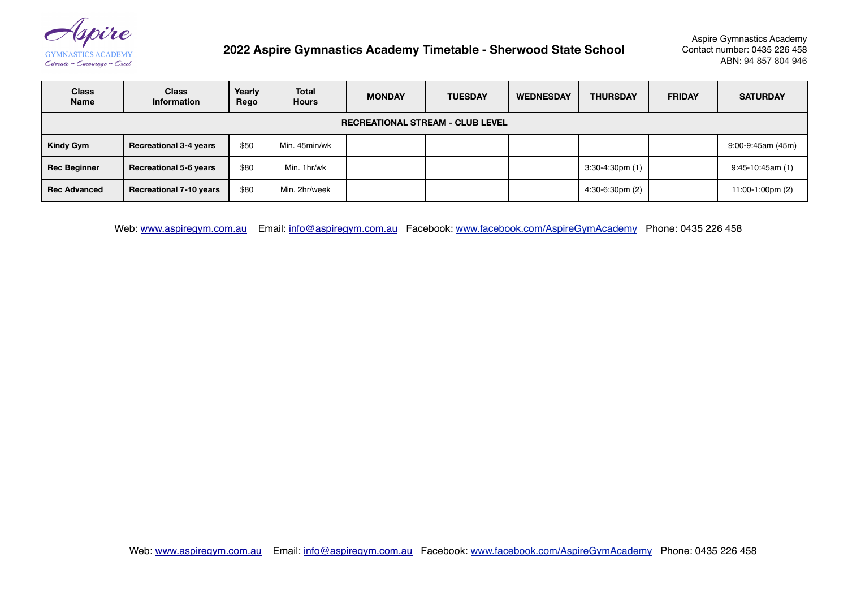(spire

**GYMNASTICS ACADEMY** Educate ~ Encourage ~ Excel

## **2022 Aspire Gymnastics Academy Timetable - Sherwood State School**

Aspire Gymnastics Academy Contact number: 0435 226 458 ABN: 94 857 804 946

| <b>Class</b><br><b>Name</b>             | <b>Class</b><br><b>Information</b> | Yearly<br>Rego | Total<br><b>Hours</b> | <b>MONDAY</b> | <b>TUESDAY</b> | <b>WEDNESDAY</b> | <b>THURSDAY</b>           | <b>FRIDAY</b> | <b>SATURDAY</b>        |
|-----------------------------------------|------------------------------------|----------------|-----------------------|---------------|----------------|------------------|---------------------------|---------------|------------------------|
| <b>RECREATIONAL STREAM - CLUB LEVEL</b> |                                    |                |                       |               |                |                  |                           |               |                        |
| Kindy Gym                               | <b>Recreational 3-4 years</b>      | \$50           | Min. 45min/wk         |               |                |                  |                           |               | $9:00 - 9:45$ am (45m) |
| Rec Beginner                            | <b>Recreational 5-6 years</b>      | \$80           | Min. 1hr/wk           |               |                |                  | $3:30-4:30 \text{pm}$ (1) |               | $9:45-10:45am(1)$      |
| l Rec Advanced                          | <b>Recreational 7-10 years</b>     | \$80           | Min. 2hr/week         |               |                |                  | $4:30-6:30 \text{pm}$ (2) |               | 11:00-1:00pm (2)       |

Web: [www.aspiregym.com.au](http://www.aspiregym.com.au) Email: [info@aspiregym.com.au](mailto:info@aspiregym.com.au?subject=) Facebook: [www.facebook.com/AspireGymAcademy](http://www.facebook.com/AspireGymAcadem) Phone: 0435 226 458